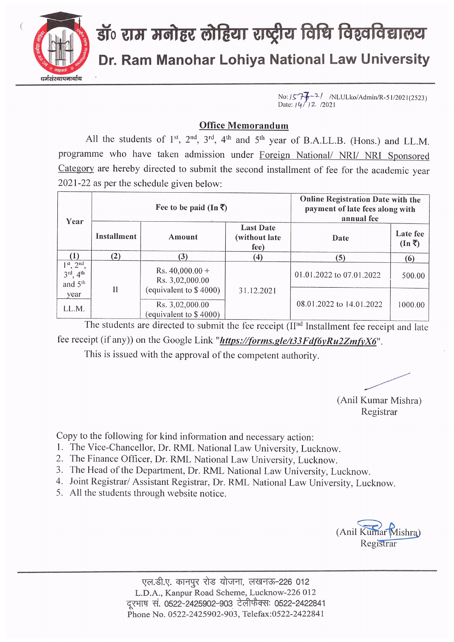

## डॉ॰ राम मनोहर लोहिया राष्ट्रीय विधि विश्वविद्यालय Dr. Ram Manohar Lohiya National Law University

No:  $/577 - 2$ / /NLULko/Admin/R-51/2021(2523)<br>Date:  $/9/72$  /2021

## **Office Memorandum**

All the students of 1<sup>st</sup>, 2<sup>nd</sup>, 3<sup>rd</sup>, 4<sup>th</sup> and 5<sup>th</sup> year of B.A.LL.B. (Hons.) and LL.M. programme who have taken admission under Foreign National/ NRI/ NRI Sponsored Category are hereby directed to submit the second installment of fee for the academic year 2021-22 as per the schedule given below:

| Year                                                              | Fee to be paid (In $\overline{\zeta}$ ) |                                             |                                            | <b>Online Registration Date with the</b><br>payment of late fees along with<br>annual fee |                                                    |
|-------------------------------------------------------------------|-----------------------------------------|---------------------------------------------|--------------------------------------------|-------------------------------------------------------------------------------------------|----------------------------------------------------|
|                                                                   | Installment                             | Amount                                      | <b>Last Date</b><br>(without late)<br>fee) | Date                                                                                      | Late fee<br>$(\text{In} \, \overline{\mathbf{x}})$ |
|                                                                   | (2)                                     | (3)                                         | $\left(4\right)$                           | (5)                                                                                       | (6)                                                |
| $1st$ , $2nd$ .<br>$3^{\text{rd}}$ , 4 <sup>th</sup><br>and $5th$ |                                         | Rs. $40,000.00 +$<br>Rs. 3,02,000.00        | 31.12.2021                                 | 01.01.2022 to 07.01.2022                                                                  | 500.00                                             |
| year                                                              | $_{II}$                                 | (equivalent to $$4000$ )                    |                                            | 08.01.2022 to 14.01.2022                                                                  | 1000.00                                            |
| LL.M.                                                             |                                         | Rs. 3,02,000.00<br>(equivalent to $$4000$ ) |                                            |                                                                                           |                                                    |

The students are directed to submit the fee receipt  $(\Pi^{nd}$  Installment fee receipt and late fee receipt (if any)) on the Google Link "https://forms.gle/t33Fdf6yRu2ZmfyX6".

This is issued with the approval of the competent authority.

(Anil Kumar Mishra) Registrar

Copy to the following for kind information and necessary action:

- 1. The Vice-Chancellor, Dr. RML National Law University, Lucknow.
- 2. The Finance Officer, Dr. RML National Law University, Lucknow.
- 3. The Head of the Department, Dr. RML National Law University, Lucknow.
- 4. Joint Registrar/ Assistant Registrar, Dr. RML National Law University, Lucknow.
- 5. All the students through website notice.

 $(Anil K)$ Mishra) Registrar